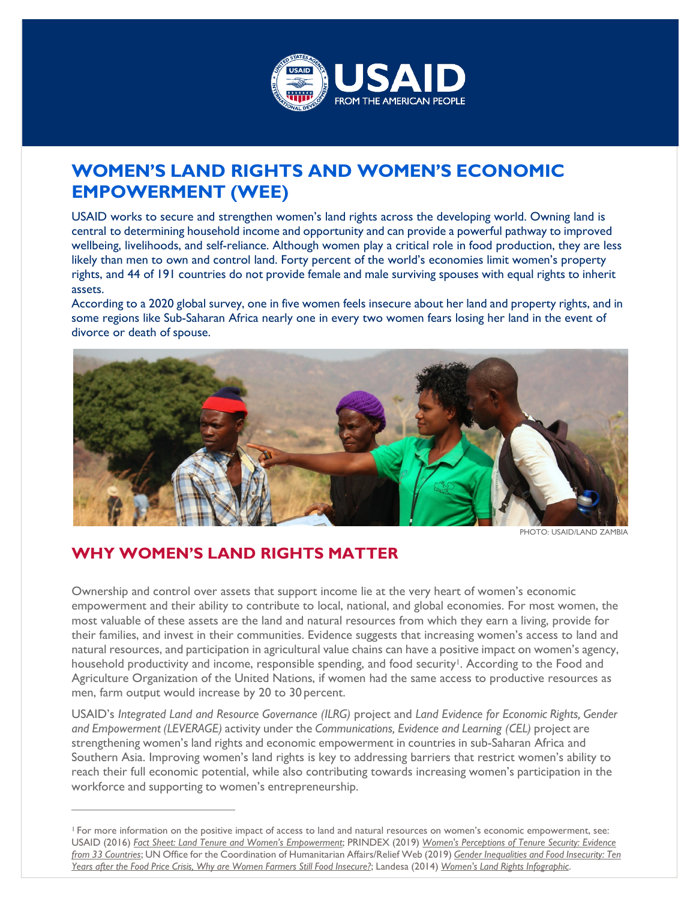

# **WOMEN'S LAND RIGHTS AND WOMEN'S ECONOMIC EMPOWERMENT (WEE)**

USAID works to secure and strengthen women's land rights across the developing world. Owning land is central to determining household income and opportunity and can provide a powerful pathway to improved wellbeing, livelihoods, and self-reliance. Although women play a critical role in food production, they are less likely than men to own and control land. Forty percent of the world's economies limit women's property rights, and 44 of 191 countries do not provide female and male surviving spouses with equal rights to inherit assets.

According to a 2020 global survey, one in five women feels insecure about her land and property rights, and in some regions like Sub-Saharan Africa nearly one in every two women fears losing her land in the event of divorce or death of spouse.



PHOTO: USAID/LAND ZAMBIA

### **WHY WOMEN'S LAND RIGHTS MATTER**

Ownership and control over assets that support income lie at the very heart of women's economic empowerment and their ability to contribute to local, national, and global economies. For most women, the most valuable of these assets are the land and natural resources from which they earn a living, provide for their families, and invest in their communities. Evidence suggests that increasing women's access to land and natural resources, and participation in agricultural value chains can have a positive impact on women's agency, household productivity and income, responsible spending, and food security<sup>1</sup>. According to the Food and Agriculture Organization of the United Nations, if women had the same access to productive resources as men, farm output would increase by 20 to 30 percent.

USAID's *Integrated Land and Resource Governance (ILRG)* project and *Land Evidence for Economic Rights, Gender and Empowerment (LEVERAGE)* activity under the *Communications, Evidence and Learning (CEL)* project are strengthening women's land rights and economic empowerment in countries in sub-Saharan Africa and Southern Asia. Improving women's land rights is key to addressing barriers that restrict women's ability to reach their full economic potential, while also contributing towards increasing women's participation in the workforce and supporting to women's entrepreneurship.

<span id="page-0-0"></span><sup>1</sup> For more information on the positive impact of access to land and natural resources on women's economic empowerment, see: USAID (2016) *[Fact Sheet: Land Tenure and Women's Empowerment](https://land-links.org/issue-brief/fact-sheet-land-tenure-womens-empowerment/)*; PRINDEX (2019) *[Women's Perceptions of Tenure Security: Evidence](https://www.prindex.net/reports/womens-perceptions-tenure-security-evidence-33-countries/) from 33 [Countries](https://www.prindex.net/reports/womens-perceptions-tenure-security-evidence-33-countries/)*; UN Office for the Coordination of Humanitarian Affairs/Relief Web (2019) *Gender [Inequalities](https://reliefweb.int/report/world/gender-inequalities-and-food-insecurity-ten-years-after-food-price-crisis-why-are-women) and Food Insecurity: Ten* Years after the Food Price Crisis, Why are Women Farmers Still Food [Insecure?](https://reliefweb.int/report/world/gender-inequalities-and-food-insecurity-ten-years-after-food-price-crisis-why-are-women); Landesa (2014) Women's Land Rights [Infographic](https://www.landesa.org/resources/womens-land-rights-and-the-sustainable-development-goals/).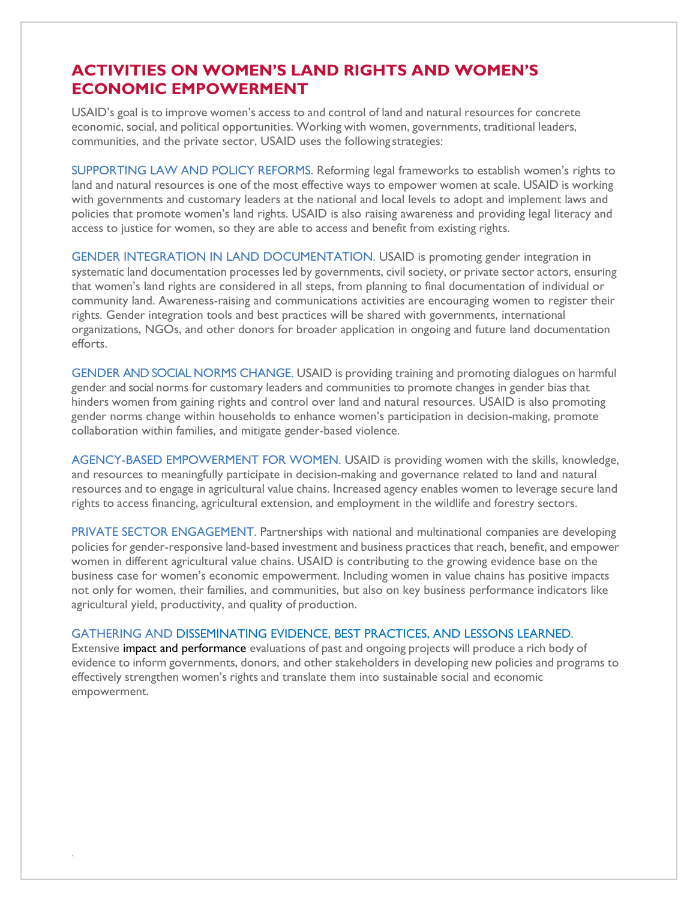### **ACTIVITIES ON WOMEN'S LAND RIGHTS AND WOMEN'S ECONOMIC EMPOWERMENT**

USAID's goal is to improve women's access to and control of land and natural resources for concrete economic, social, and political opportunities. Working with women, governments, traditional leaders, communities, and the private sector, USAID uses the following strategies:

SUPPORTING LAW AND POLICY REFORMS. Reforming legal frameworks to establish women's rights to land and natural resources is one of the most effective ways to empower women at scale. USAID is working with governments and customary leaders at the national and local levels to adopt and implement laws and policies that promote women's land rights. USAID is also raising awareness and providing legal literacy and access to justice for women, so they are able to access and benefit from existing rights.

GENDER INTEGRATION IN LAND DOCUMENTATION. USAID is promoting gender integration in systematic land documentation processes led by governments, civil society, or private sector actors, ensuring that women's land rights are considered in all steps, from planning to final documentation of individual or community land. Awareness-raising and communications activities are encouraging women to register their rights. Gender integration tools and best practices will be shared with governments, international organizations, NGOs, and other donors for broader application in ongoing and future land documentation efforts.

GENDER AND SOCIAL NORMS CHANGE. USAID is providing training and promoting dialogues on harmful gender and social norms for customary leaders and communities to promote changes in gender bias that hinders women from gaining rights and control over land and natural resources. USAID is also promoting gender norms change within households to enhance women's participation in decision-making, promote collaboration within families, and mitigate gender-based violence.

AGENCY-BASED EMPOWERMENT FOR WOMEN. USAID is providing women with the skills, knowledge, and resources to meaningfully participate in decision-making and governance related to land and natural resources and to engage in agricultural value chains. Increased agency enables women to leverage secure land rights to access financing, agricultural extension, and employment in the wildlife and forestry sectors.

PRIVATE SECTOR ENGAGEMENT. Partnerships with national and multinational companies are developing policies for gender-responsive land-based investment and business practices that reach, benefit, and empower women in different agricultural value chains. USAID is contributing to the growing evidence base on the business case for women's economic empowerment. Including women in value chains has positive impacts not only for women, their families, and communities, but also on key business performance indicators like agricultural yield, productivity, and quality of production.

#### GATHERING AND DISSEMINATING EVIDENCE, BEST PRACTICES, AND LESSONS LEARNED.

`

Extensive impact and performance evaluations of past and ongoing projects will produce a rich body of evidence to inform governments, donors, and other stakeholders in developing new policies and programs to effectively strengthen women's rights and translate them into sustainable social and economic empowerment.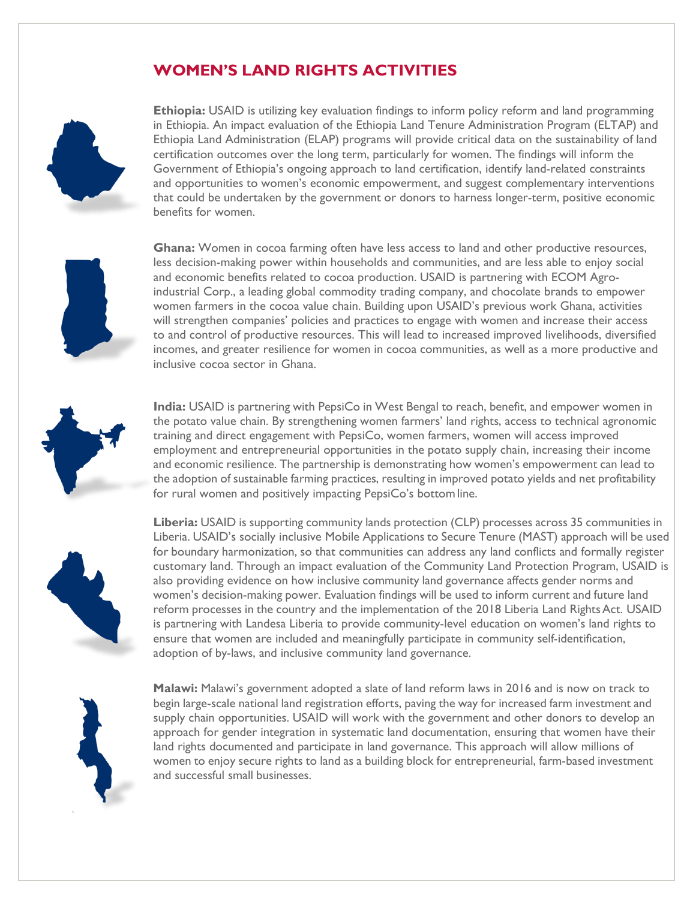## **WOMEN'S LAND RIGHTS ACTIVITIES**



**Ethiopia:** USAID is utilizing key evaluation findings to inform policy reform and land programming in Ethiopia. An impact evaluation of the Ethiopia Land Tenure Administration Program (ELTAP) and Ethiopia Land Administration (ELAP) programs will provide critical data on the sustainability of land certification outcomes over the long term, particularly for women. The findings will inform the Government of Ethiopia's ongoing approach to land certification, identify land-related constraints and opportunities to women's economic empowerment, and suggest complementary interventions that could be undertaken by the government or donors to harness longer-term, positive economic benefits for women.

**Ghana:** Women in cocoa farming often have less access to land and other productive resources, less decision-making power within households and communities, and are less able to enjoy social and economic benefits related to cocoa production. USAID is partnering with ECOM Agroindustrial Corp., a leading global commodity trading company, and chocolate brands to empower women farmers in the cocoa value chain. Building upon USAID's previous work Ghana, activities will strengthen companies' policies and practices to engage with women and increase their access to and control of productive resources. This will lead to increased improved livelihoods, diversified incomes, and greater resilience for women in cocoa communities, as well as a more productive and inclusive cocoa sector in Ghana.

**India:** USAID is partnering with PepsiCo in West Bengal to reach, benefit, and empower women in the potato value chain. By strengthening women farmers' land rights, access to technical agronomic training and direct engagement with PepsiCo, women farmers, women will access improved employment and entrepreneurial opportunities in the potato supply chain, increasing their income and economic resilience. The partnership is demonstrating how women's empowerment can lead to the adoption of sustainable farming practices, resulting in improved potato yields and net profitability for rural women and positively impacting PepsiCo's bottom line.



**Liberia:** USAID is supporting community lands protection (CLP) processes across 35 communities in Liberia. USAID's socially inclusive Mobile Applications to Secure Tenure (MAST) approach will be used for boundary harmonization, so that communities can address any land conflicts and formally register customary land. Through an impact evaluation of the Community Land Protection Program, USAID is also providing evidence on how inclusive community land governance affects gender norms and women's decision-making power. Evaluation findings will be used to inform current and future land reform processes in the country and the implementation of the 2018 Liberia Land Rights Act. USAID is partnering with Landesa Liberia to provide community-level education on women's land rights to ensure that women are included and meaningfully participate in community self-identification, adoption of by-laws, and inclusive community land governance.



`

**Malawi:** Malawi's government adopted a slate of land reform laws in 2016 and is now on track to begin large-scale national land registration efforts, paving the way for increased farm investment and supply chain opportunities. USAID will work with the government and other donors to develop an approach for gender integration in systematic land documentation, ensuring that women have their land rights documented and participate in land governance. This approach will allow millions of women to enjoy secure rights to land as a building block for entrepreneurial, farm-based investment and successful small businesses.